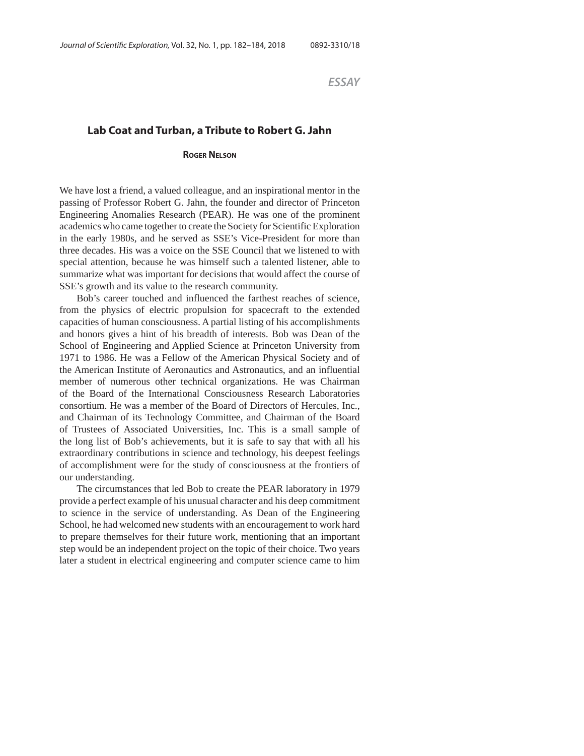*ESSAY*

## **Lab Coat and Turban, a Tribute to Robert G. Jahn**

## **ROGER NELSON**

We have lost a friend, a valued colleague, and an inspirational mentor in the passing of Professor Robert G. Jahn, the founder and director of Princeton Engineering Anomalies Research (PEAR). He was one of the prominent academics who came together to create the Society for Scientific Exploration in the early 1980s, and he served as SSE's Vice-President for more than three decades. His was a voice on the SSE Council that we listened to with special attention, because he was himself such a talented listener, able to summarize what was important for decisions that would affect the course of SSE's growth and its value to the research community.

Bob's career touched and influenced the farthest reaches of science, from the physics of electric propulsion for spacecraft to the extended capacities of human consciousness. A partial listing of his accomplishments and honors gives a hint of his breadth of interests. Bob was Dean of the School of Engineering and Applied Science at Princeton University from 1971 to 1986. He was a Fellow of the American Physical Society and of the American Institute of Aeronautics and Astronautics, and an influential member of numerous other technical organizations. He was Chairman of the Board of the International Consciousness Research Laboratories consortium. He was a member of the Board of Directors of Hercules, Inc., and Chairman of its Technology Committee, and Chairman of the Board of Trustees of Associated Universities, Inc. This is a small sample of the long list of Bob's achievements, but it is safe to say that with all his extraordinary contributions in science and technology, his deepest feelings of accomplishment were for the study of consciousness at the frontiers of our understanding.

The circumstances that led Bob to create the PEAR laboratory in 1979 provide a perfect example of his unusual character and his deep commitment to science in the service of understanding. As Dean of the Engineering School, he had welcomed new students with an encouragement to work hard to prepare themselves for their future work, mentioning that an important step would be an independent project on the topic of their choice. Two years later a student in electrical engineering and computer science came to him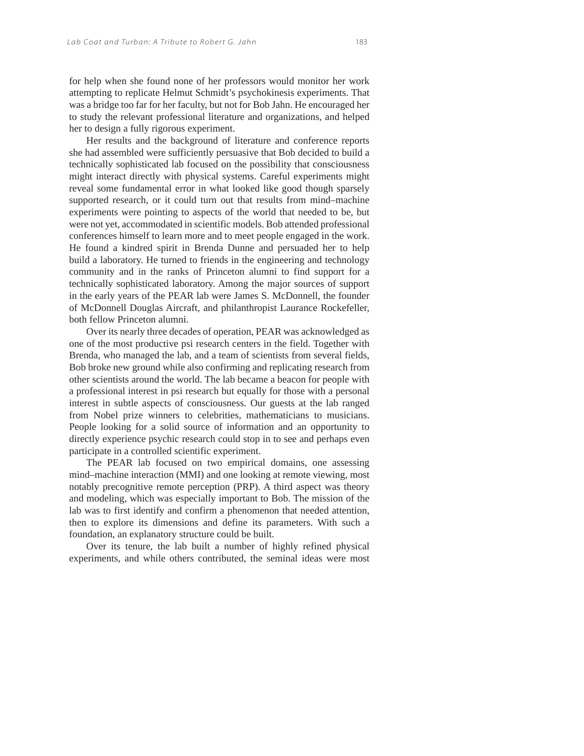for help when she found none of her professors would monitor her work attempting to replicate Helmut Schmidt's psychokinesis experiments. That was a bridge too far for her faculty, but not for Bob Jahn. He encouraged her to study the relevant professional literature and organizations, and helped her to design a fully rigorous experiment.

Her results and the background of literature and conference reports she had assembled were sufficiently persuasive that Bob decided to build a technically sophisticated lab focused on the possibility that consciousness might interact directly with physical systems. Careful experiments might reveal some fundamental error in what looked like good though sparsely supported research, or it could turn out that results from mind–machine experiments were pointing to aspects of the world that needed to be, but were not yet, accommodated in scientific models. Bob attended professional conferences himself to learn more and to meet people engaged in the work. He found a kindred spirit in Brenda Dunne and persuaded her to help build a laboratory. He turned to friends in the engineering and technology community and in the ranks of Princeton alumni to find support for a technically sophisticated laboratory. Among the major sources of support in the early years of the PEAR lab were James S. McDonnell, the founder of McDonnell Douglas Aircraft, and philanthropist Laurance Rockefeller, both fellow Princeton alumni.

Over its nearly three decades of operation, PEAR was acknowledged as one of the most productive psi research centers in the field. Together with Brenda, who managed the lab, and a team of scientists from several fields, Bob broke new ground while also confirming and replicating research from other scientists around the world. The lab became a beacon for people with a professional interest in psi research but equally for those with a personal interest in subtle aspects of consciousness. Our guests at the lab ranged from Nobel prize winners to celebrities, mathematicians to musicians. People looking for a solid source of information and an opportunity to directly experience psychic research could stop in to see and perhaps even participate in a controlled scientific experiment.

The PEAR lab focused on two empirical domains, one assessing mind–machine interaction (MMI) and one looking at remote viewing, most notably precognitive remote perception (PRP). A third aspect was theory and modeling, which was especially important to Bob. The mission of the lab was to first identify and confirm a phenomenon that needed attention, then to explore its dimensions and define its parameters. With such a foundation, an explanatory structure could be built.

Over its tenure, the lab built a number of highly refined physical experiments, and while others contributed, the seminal ideas were most